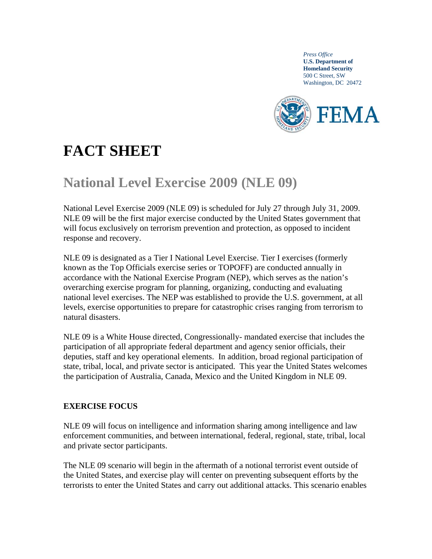*Press Office*  **U.S. Department of Homeland Security**  500 C Street, SW Washington, DC 20472



# **FACT SHEET**

# **National Level Exercise 2009 (NLE 09)**

National Level Exercise 2009 (NLE 09) is scheduled for July 27 through July 31, 2009. NLE 09 will be the first major exercise conducted by the United States government that will focus exclusively on terrorism prevention and protection, as opposed to incident response and recovery.

NLE 09 is designated as a Tier I National Level Exercise. Tier I exercises (formerly known as the Top Officials exercise series or TOPOFF) are conducted annually in accordance with the National Exercise Program (NEP), which serves as the nation's overarching exercise program for planning, organizing, conducting and evaluating national level exercises. The NEP was established to provide the U.S. government, at all levels, exercise opportunities to prepare for catastrophic crises ranging from terrorism to natural disasters.

NLE 09 is a White House directed, Congressionally- mandated exercise that includes the participation of all appropriate federal department and agency senior officials, their deputies, staff and key operational elements. In addition, broad regional participation of state, tribal, local, and private sector is anticipated. This year the United States welcomes the participation of Australia, Canada, Mexico and the United Kingdom in NLE 09.

## **EXERCISE FOCUS**

NLE 09 will focus on intelligence and information sharing among intelligence and law enforcement communities, and between international, federal, regional, state, tribal, local and private sector participants.

The NLE 09 scenario will begin in the aftermath of a notional terrorist event outside of the United States, and exercise play will center on preventing subsequent efforts by the terrorists to enter the United States and carry out additional attacks. This scenario enables